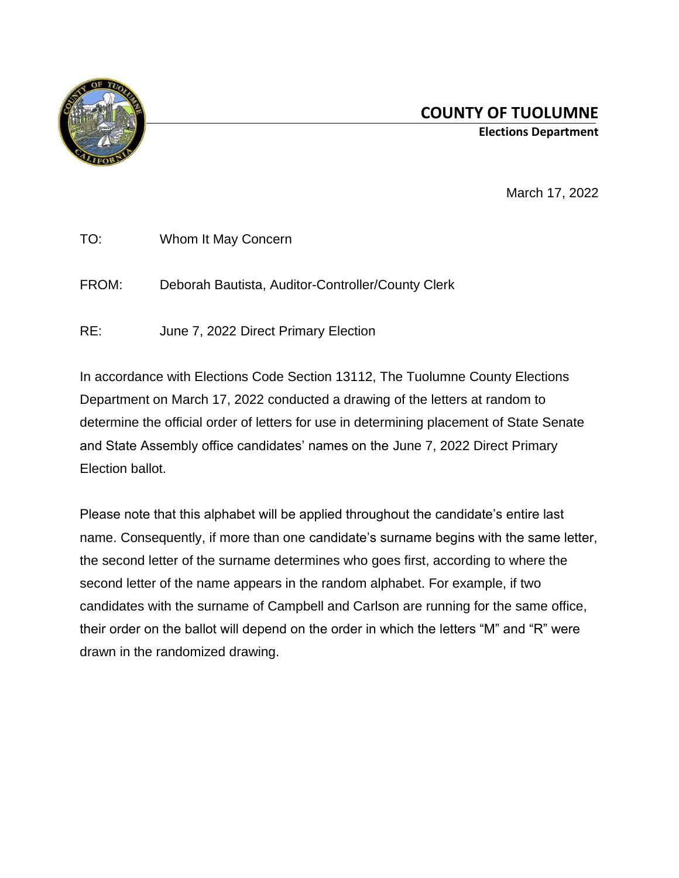

March 17, 2022

| TO:   | Whom It May Concern                               |
|-------|---------------------------------------------------|
| FROM: | Deborah Bautista, Auditor-Controller/County Clerk |

RE: June 7, 2022 Direct Primary Election

In accordance with Elections Code Section 13112, The Tuolumne County Elections Department on March 17, 2022 conducted a drawing of the letters at random to determine the official order of letters for use in determining placement of State Senate and State Assembly office candidates' names on the June 7, 2022 Direct Primary Election ballot.

Please note that this alphabet will be applied throughout the candidate's entire last name. Consequently, if more than one candidate's surname begins with the same letter, the second letter of the surname determines who goes first, according to where the second letter of the name appears in the random alphabet. For example, if two candidates with the surname of Campbell and Carlson are running for the same office, their order on the ballot will depend on the order in which the letters "M" and "R" were drawn in the randomized drawing.